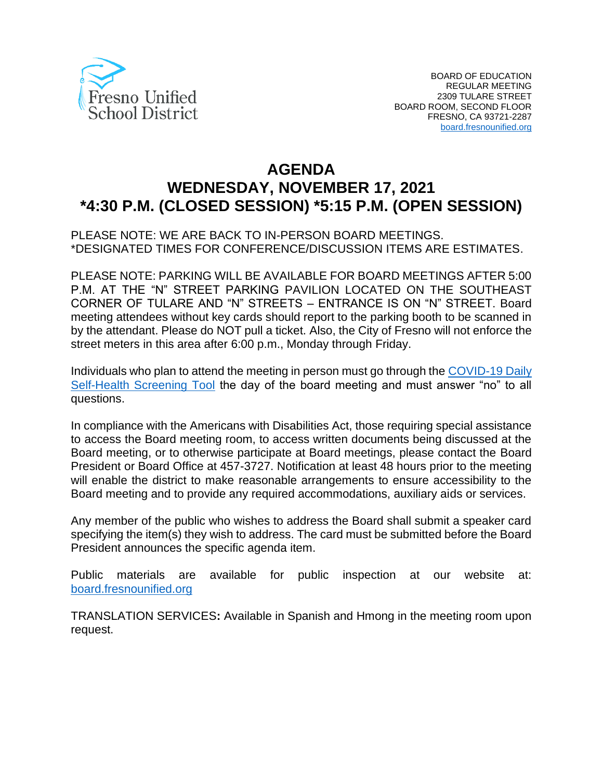

# **AGENDA WEDNESDAY, NOVEMBER 17, 2021 \*4:30 P.M. (CLOSED SESSION) \*5:15 P.M. (OPEN SESSION)**

PLEASE NOTE: WE ARE BACK TO IN-PERSON BOARD MEETINGS. \*DESIGNATED TIMES FOR CONFERENCE/DISCUSSION ITEMS ARE ESTIMATES.

PLEASE NOTE: PARKING WILL BE AVAILABLE FOR BOARD MEETINGS AFTER 5:00 P.M. AT THE "N" STREET PARKING PAVILION LOCATED ON THE SOUTHEAST CORNER OF TULARE AND "N" STREETS – ENTRANCE IS ON "N" STREET. Board meeting attendees without key cards should report to the parking booth to be scanned in by the attendant. Please do NOT pull a ticket. Also, the City of Fresno will not enforce the street meters in this area after 6:00 p.m., Monday through Friday.

Individuals who plan to attend the meeting in person must go through the [COVID-19 Daily](https://www.fresnounified.org/covid19/)  [Self-Health Screening Tool](https://www.fresnounified.org/covid19/) the day of the board meeting and must answer "no" to all questions.

In compliance with the Americans with Disabilities Act, those requiring special assistance to access the Board meeting room, to access written documents being discussed at the Board meeting, or to otherwise participate at Board meetings, please contact the Board President or Board Office at 457-3727. Notification at least 48 hours prior to the meeting will enable the district to make reasonable arrangements to ensure accessibility to the Board meeting and to provide any required accommodations, auxiliary aids or services.

Any member of the public who wishes to address the Board shall submit a speaker card specifying the item(s) they wish to address. The card must be submitted before the Board President announces the specific agenda item.

Public materials are available for public inspection at our website at: [board.fresnounified.org](https://board.fresnounified.org/)

TRANSLATION SERVICES**:** Available in Spanish and Hmong in the meeting room upon request.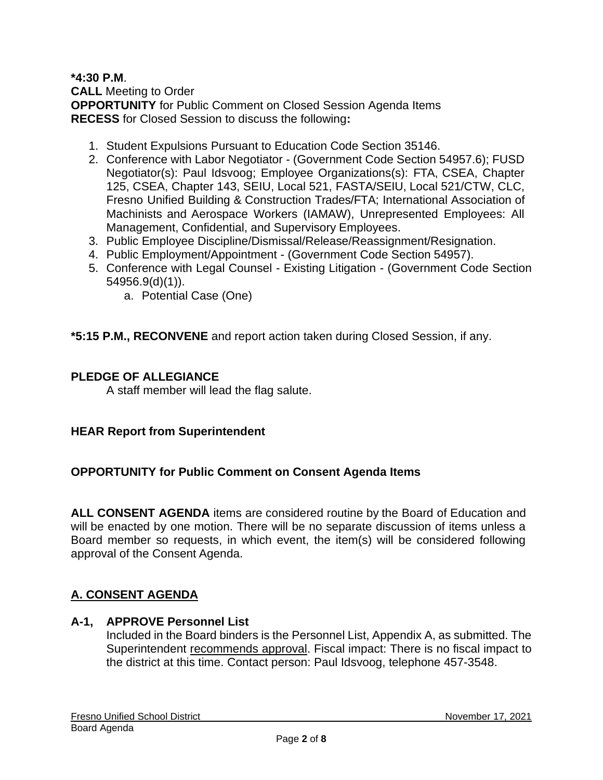#### **\*4:30 P.M**. **CALL** Meeting to Order **OPPORTUNITY** for Public Comment on Closed Session Agenda Items **RECESS** for Closed Session to discuss the following**:**

- 1. Student Expulsions Pursuant to Education Code Section 35146.
- 2. Conference with Labor Negotiator (Government Code Section 54957.6); FUSD Negotiator(s): Paul Idsvoog; Employee Organizations(s): FTA, CSEA, Chapter 125, CSEA, Chapter 143, SEIU, Local 521, FASTA/SEIU, Local 521/CTW, CLC, Fresno Unified Building & Construction Trades/FTA; International Association of Machinists and Aerospace Workers (IAMAW), Unrepresented Employees: All Management, Confidential, and Supervisory Employees.
- 3. Public Employee Discipline/Dismissal/Release/Reassignment/Resignation.
- 4. Public Employment/Appointment (Government Code Section 54957).
- 5. Conference with Legal Counsel Existing Litigation (Government Code Section 54956.9(d)(1)).
	- a. Potential Case (One)

**\*5:15 P.M., RECONVENE** and report action taken during Closed Session, if any.

#### **PLEDGE OF ALLEGIANCE**

A staff member will lead the flag salute.

#### **HEAR Report from Superintendent**

#### **OPPORTUNITY for Public Comment on Consent Agenda Items**

**ALL CONSENT AGENDA** items are considered routine by the Board of Education and will be enacted by one motion. There will be no separate discussion of items unless a Board member so requests, in which event, the item(s) will be considered following approval of the Consent Agenda.

# **A. CONSENT AGENDA**

### **A-1, APPROVE Personnel List**

Included in the Board binders is the Personnel List, Appendix A, as submitted. The Superintendent recommends approval. Fiscal impact: There is no fiscal impact to the district at this time. Contact person: Paul Idsvoog, telephone 457-3548.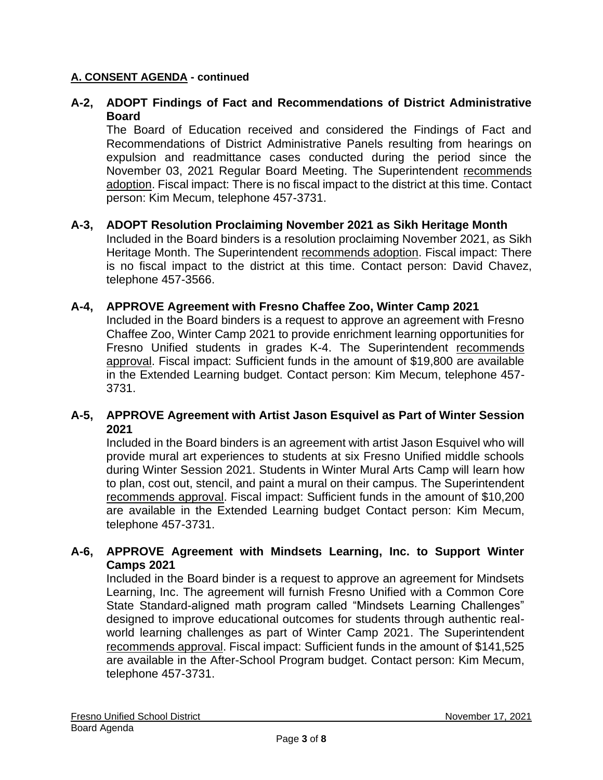# **A-2, ADOPT Findings of Fact and Recommendations of District Administrative Board**

The Board of Education received and considered the Findings of Fact and Recommendations of District Administrative Panels resulting from hearings on expulsion and readmittance cases conducted during the period since the November 03, 2021 Regular Board Meeting. The Superintendent recommends adoption. Fiscal impact: There is no fiscal impact to the district at this time. Contact person: Kim Mecum, telephone 457-3731.

#### **A-3, ADOPT Resolution Proclaiming November 2021 as Sikh Heritage Month**

Included in the Board binders is a resolution proclaiming November 2021, as Sikh Heritage Month. The Superintendent recommends adoption. Fiscal impact: There is no fiscal impact to the district at this time. Contact person: David Chavez, telephone 457-3566.

#### **A-4, APPROVE Agreement with Fresno Chaffee Zoo, Winter Camp 2021**

Included in the Board binders is a request to approve an agreement with Fresno Chaffee Zoo, Winter Camp 2021 to provide enrichment learning opportunities for Fresno Unified students in grades K-4. The Superintendent recommends approval. Fiscal impact: Sufficient funds in the amount of \$19,800 are available in the Extended Learning budget. Contact person: Kim Mecum, telephone 457- 3731.

#### **A-5, APPROVE Agreement with Artist Jason Esquivel as Part of Winter Session 2021**

Included in the Board binders is an agreement with artist Jason Esquivel who will provide mural art experiences to students at six Fresno Unified middle schools during Winter Session 2021. Students in Winter Mural Arts Camp will learn how to plan, cost out, stencil, and paint a mural on their campus. The Superintendent recommends approval. Fiscal impact: Sufficient funds in the amount of \$10,200 are available in the Extended Learning budget Contact person: Kim Mecum, telephone 457-3731.

#### **A-6, APPROVE Agreement with Mindsets Learning, Inc. to Support Winter Camps 2021**

Included in the Board binder is a request to approve an agreement for Mindsets Learning, Inc. The agreement will furnish Fresno Unified with a Common Core State Standard-aligned math program called "Mindsets Learning Challenges" designed to improve educational outcomes for students through authentic realworld learning challenges as part of Winter Camp 2021. The Superintendent recommends approval. Fiscal impact: Sufficient funds in the amount of \$141,525 are available in the After-School Program budget. Contact person: Kim Mecum, telephone 457-3731.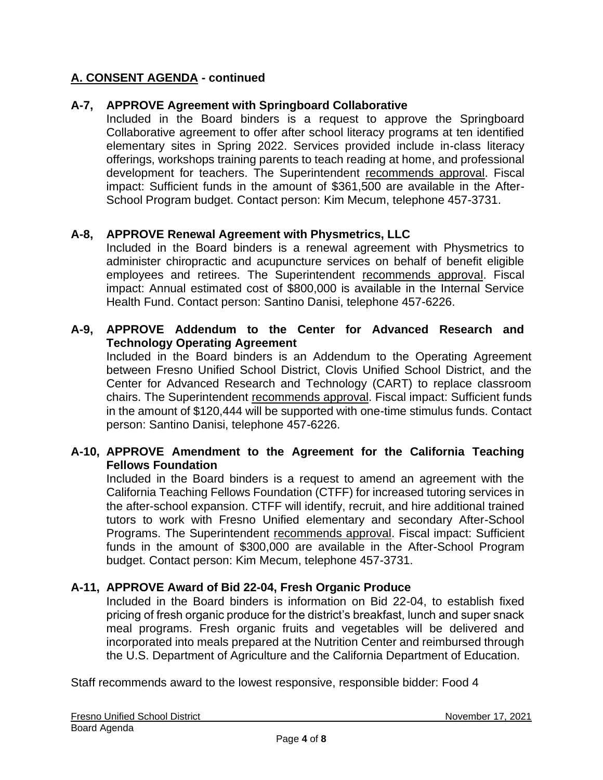# **A-7, APPROVE Agreement with Springboard Collaborative**

Included in the Board binders is a request to approve the Springboard Collaborative agreement to offer after school literacy programs at ten identified elementary sites in Spring 2022. Services provided include in-class literacy offerings, workshops training parents to teach reading at home, and professional development for teachers. The Superintendent recommends approval. Fiscal impact: Sufficient funds in the amount of \$361,500 are available in the After-School Program budget. Contact person: Kim Mecum, telephone 457-3731.

# **A-8, APPROVE Renewal Agreement with Physmetrics, LLC**

Included in the Board binders is a renewal agreement with Physmetrics to administer chiropractic and acupuncture services on behalf of benefit eligible employees and retirees. The Superintendent recommends approval. Fiscal impact: Annual estimated cost of \$800,000 is available in the Internal Service Health Fund. Contact person: Santino Danisi, telephone 457-6226.

### **A-9, APPROVE Addendum to the Center for Advanced Research and Technology Operating Agreement**

Included in the Board binders is an Addendum to the Operating Agreement between Fresno Unified School District, Clovis Unified School District, and the Center for Advanced Research and Technology (CART) to replace classroom chairs. The Superintendent recommends approval. Fiscal impact: Sufficient funds in the amount of \$120,444 will be supported with one-time stimulus funds. Contact person: Santino Danisi, telephone 457-6226.

#### **A-10, APPROVE Amendment to the Agreement for the California Teaching Fellows Foundation**

Included in the Board binders is a request to amend an agreement with the California Teaching Fellows Foundation (CTFF) for increased tutoring services in the after-school expansion. CTFF will identify, recruit, and hire additional trained tutors to work with Fresno Unified elementary and secondary After-School Programs. The Superintendent recommends approval. Fiscal impact: Sufficient funds in the amount of \$300,000 are available in the After-School Program budget. Contact person: Kim Mecum, telephone 457-3731.

# **A-11, APPROVE Award of Bid 22-04, Fresh Organic Produce**

Included in the Board binders is information on Bid 22-04, to establish fixed pricing of fresh organic produce for the district's breakfast, lunch and super snack meal programs. Fresh organic fruits and vegetables will be delivered and incorporated into meals prepared at the Nutrition Center and reimbursed through the U.S. Department of Agriculture and the California Department of Education.

Staff recommends award to the lowest responsive, responsible bidder: Food 4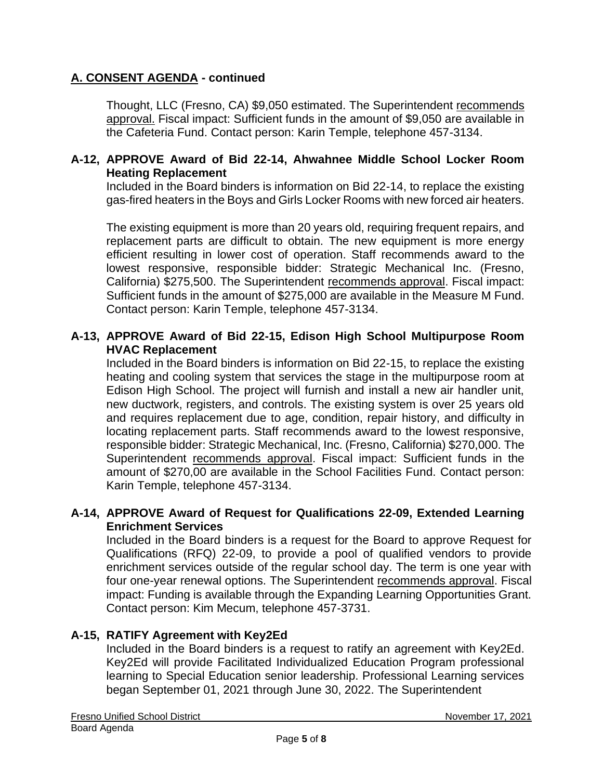Thought, LLC (Fresno, CA) \$9,050 estimated. The Superintendent recommends approval. Fiscal impact: Sufficient funds in the amount of \$9,050 are available in the Cafeteria Fund. Contact person: Karin Temple, telephone 457-3134.

#### **A-12, APPROVE Award of Bid 22-14, Ahwahnee Middle School Locker Room Heating Replacement**

Included in the Board binders is information on Bid 22-14, to replace the existing gas-fired heaters in the Boys and Girls Locker Rooms with new forced air heaters.

The existing equipment is more than 20 years old, requiring frequent repairs, and replacement parts are difficult to obtain. The new equipment is more energy efficient resulting in lower cost of operation. Staff recommends award to the lowest responsive, responsible bidder: Strategic Mechanical Inc. (Fresno, California) \$275,500. The Superintendent recommends approval. Fiscal impact: Sufficient funds in the amount of \$275,000 are available in the Measure M Fund. Contact person: Karin Temple, telephone 457-3134.

#### **A-13, APPROVE Award of Bid 22-15, Edison High School Multipurpose Room HVAC Replacement**

Included in the Board binders is information on Bid 22-15, to replace the existing heating and cooling system that services the stage in the multipurpose room at Edison High School. The project will furnish and install a new air handler unit, new ductwork, registers, and controls. The existing system is over 25 years old and requires replacement due to age, condition, repair history, and difficulty in locating replacement parts. Staff recommends award to the lowest responsive, responsible bidder: Strategic Mechanical, Inc. (Fresno, California) \$270,000. The Superintendent recommends approval. Fiscal impact: Sufficient funds in the amount of \$270,00 are available in the School Facilities Fund. Contact person: Karin Temple, telephone 457-3134.

#### **A-14, APPROVE Award of Request for Qualifications 22-09, Extended Learning Enrichment Services**

Included in the Board binders is a request for the Board to approve Request for Qualifications (RFQ) 22-09, to provide a pool of qualified vendors to provide enrichment services outside of the regular school day. The term is one year with four one-year renewal options. The Superintendent recommends approval. Fiscal impact: Funding is available through the Expanding Learning Opportunities Grant. Contact person: Kim Mecum, telephone 457-3731.

# **A-15, RATIFY Agreement with Key2Ed**

Included in the Board binders is a request to ratify an agreement with Key2Ed. Key2Ed will provide Facilitated Individualized Education Program professional learning to Special Education senior leadership. Professional Learning services began September 01, 2021 through June 30, 2022. The Superintendent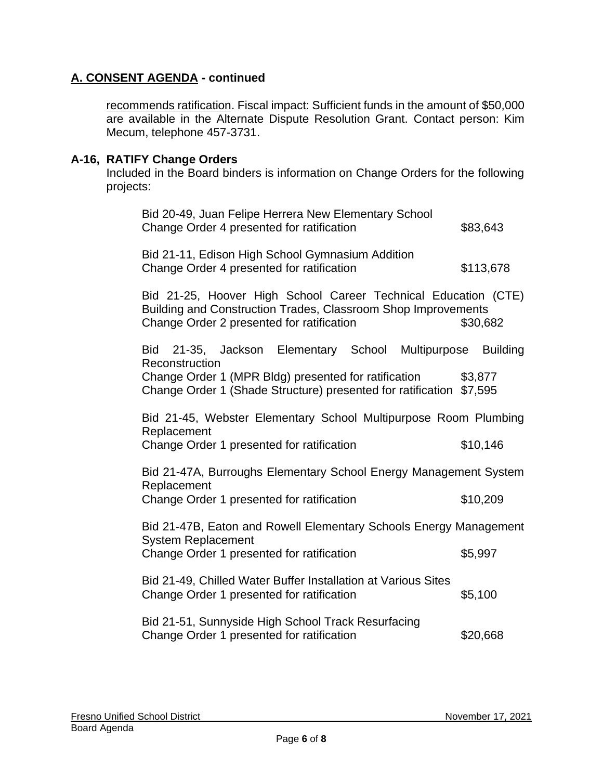recommends ratification. Fiscal impact: Sufficient funds in the amount of \$50,000 are available in the Alternate Dispute Resolution Grant. Contact person: Kim Mecum, telephone 457-3731.

# **A-16, RATIFY Change Orders**

Included in the Board binders is information on Change Orders for the following projects:

| Bid 20-49, Juan Felipe Herrera New Elementary School<br>Change Order 4 presented for ratification                                                                                                     | \$83,643                   |
|-------------------------------------------------------------------------------------------------------------------------------------------------------------------------------------------------------|----------------------------|
| Bid 21-11, Edison High School Gymnasium Addition<br>Change Order 4 presented for ratification                                                                                                         | \$113,678                  |
| Bid 21-25, Hoover High School Career Technical Education (CTE)<br>Building and Construction Trades, Classroom Shop Improvements<br>Change Order 2 presented for ratification                          | \$30,682                   |
| Bid 21-35, Jackson Elementary School<br>Multipurpose<br>Reconstruction<br>Change Order 1 (MPR Bldg) presented for ratification<br>Change Order 1 (Shade Structure) presented for ratification \$7,595 | <b>Building</b><br>\$3,877 |
| Bid 21-45, Webster Elementary School Multipurpose Room Plumbing<br>Replacement<br>Change Order 1 presented for ratification                                                                           | \$10,146                   |
| Bid 21-47A, Burroughs Elementary School Energy Management System<br>Replacement<br>Change Order 1 presented for ratification                                                                          | \$10,209                   |
| Bid 21-47B, Eaton and Rowell Elementary Schools Energy Management<br>System Replacement<br>Change Order 1 presented for ratification                                                                  | \$5,997                    |
| Bid 21-49, Chilled Water Buffer Installation at Various Sites<br>Change Order 1 presented for ratification                                                                                            | \$5,100                    |
| Bid 21-51, Sunnyside High School Track Resurfacing<br>Change Order 1 presented for ratification                                                                                                       | \$20,668                   |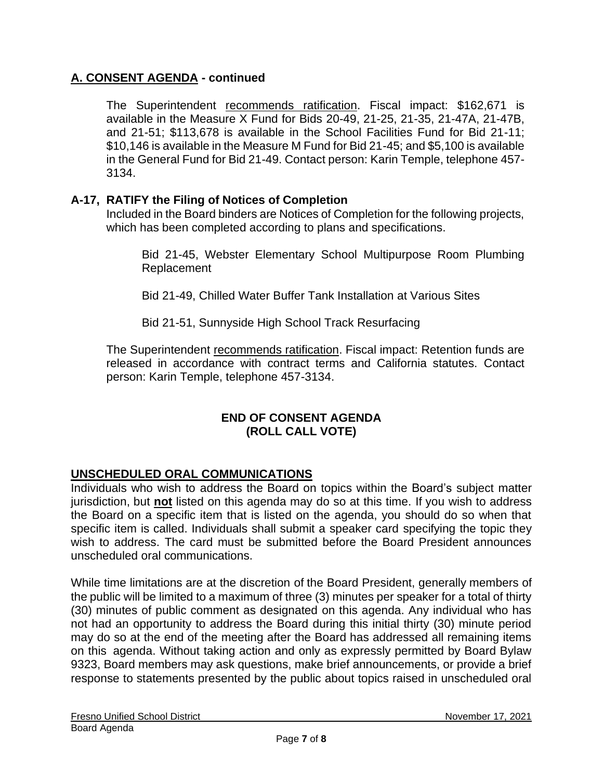The Superintendent recommends ratification. Fiscal impact: \$162,671 is available in the Measure X Fund for Bids 20-49, 21-25, 21-35, 21-47A, 21-47B, and 21-51; \$113,678 is available in the School Facilities Fund for Bid 21-11; \$10,146 is available in the Measure M Fund for Bid 21-45; and \$5,100 is available in the General Fund for Bid 21-49. Contact person: Karin Temple, telephone 457- 3134.

# **A-17, RATIFY the Filing of Notices of Completion**

Included in the Board binders are Notices of Completion for the following projects, which has been completed according to plans and specifications.

Bid 21-45, Webster Elementary School Multipurpose Room Plumbing Replacement

Bid 21-49, Chilled Water Buffer Tank Installation at Various Sites

Bid 21-51, Sunnyside High School Track Resurfacing

The Superintendent recommends ratification. Fiscal impact: Retention funds are released in accordance with contract terms and California statutes. Contact person: Karin Temple, telephone 457-3134.

# **END OF CONSENT AGENDA (ROLL CALL VOTE)**

# **UNSCHEDULED ORAL COMMUNICATIONS**

Individuals who wish to address the Board on topics within the Board's subject matter jurisdiction, but **not** listed on this agenda may do so at this time. If you wish to address the Board on a specific item that is listed on the agenda, you should do so when that specific item is called. Individuals shall submit a speaker card specifying the topic they wish to address. The card must be submitted before the Board President announces unscheduled oral communications.

While time limitations are at the discretion of the Board President, generally members of the public will be limited to a maximum of three (3) minutes per speaker for a total of thirty (30) minutes of public comment as designated on this agenda. Any individual who has not had an opportunity to address the Board during this initial thirty (30) minute period may do so at the end of the meeting after the Board has addressed all remaining items on this agenda. Without taking action and only as expressly permitted by Board Bylaw 9323, Board members may ask questions, make brief announcements, or provide a brief response to statements presented by the public about topics raised in unscheduled oral